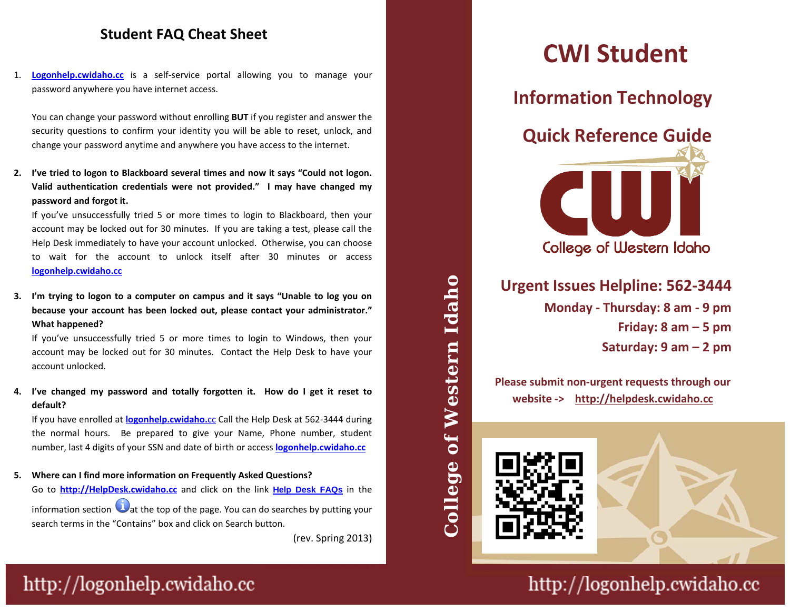#### **Student FAQ Cheat Sheet**

1. **[Logonhelp.cwidaho.cc](http://logonhelp.cwidaho.cc/)** is a self-service portal allowing you to manage your need and allowing your password anywhere you have internet access.

change your password anytime and anywhere you have access to the internet.<br> You can change your password without enrolling **BUT** if you register and answer the security questions to confirm your identity you will be able to reset, unlock, and

Valid authentication credentials were not provided." I may have changed my **2. I've tried to logon to Blackboard several times and now it says "Could not logon. password and forgot it.**

**Hours: Monday - Friday 8 am to 9 pm** account may be locked out for 30 minutes. If you are taking a test, please call the to wait for the account to unlock itself after 30 minutes or access If you've unsuccessfully tried 5 or more times to login to Blackboard, then your Help Desk immediately to have your account unlocked. Otherwise, you can choose **[logonhelp.cwidaho.cc](http://logonhelp.cwidaho.cc/)**

**Please submit non-urgent issues through 3. I'm trying to logon to a computer on campus and it says "Unable to log you on because your account has been locked out, please contact your administrator." What happened?**

**What happened?**<br>If you've unsuccessfully tried 5 or more times to login to Windows, then your account may be locked out for 30 minutes. Contact the Help Desk to have your account unlocked.

**4. I've changed my password and totally forgotten it. How do I get it reset to default?**

If you have enrolled at **[logonhelp.cwidaho.](http://logonhelp.cwidaho.cc/)**cc Call the Help Desk at 562-3444 during the normal hours. Be prepared to give your Name, Phone number, student number, last 4 digits of your SSN and date of birth or access **[logonhelp.cwidaho.cc](http://logonhelp.cwidaho.cc/)**

**5. Where can I find more information on Frequently Asked Questions?** Go to **[http://HelpDesk.cwidaho.cc](http://helpdesk.cwidaho.cc/)** and click on the link **[Help Desk FAQs](https://helpdesk.cwidaho.cc/helpdesk/WebObjects/Helpdesk.woa/wa/FaqActions/viewAll)** in the information section  $\bigcup$  at the top of the page. You can do searches by putting your search terms in the "Contains" box and click on Search button.

(rev. Spring 2013)

# **CWI Student**

**Information Technology**



## **Urgent Issues Helpline: 562-3444**

**Monday - Thursday: 8 am - 9 pm Friday: 8 am – 5 pm Saturday: 9 am – 2 pm**

**Please submit non-urgent requests through our website -> http://helpdesk.cwidaho.cc**



**College of Western Idaho** 

 $\overline{\mathbf{b}}$ 

College

Western

Idaho



http://logonhelp.cwidaho.cc

## http://logonhelp.cwidaho.cc